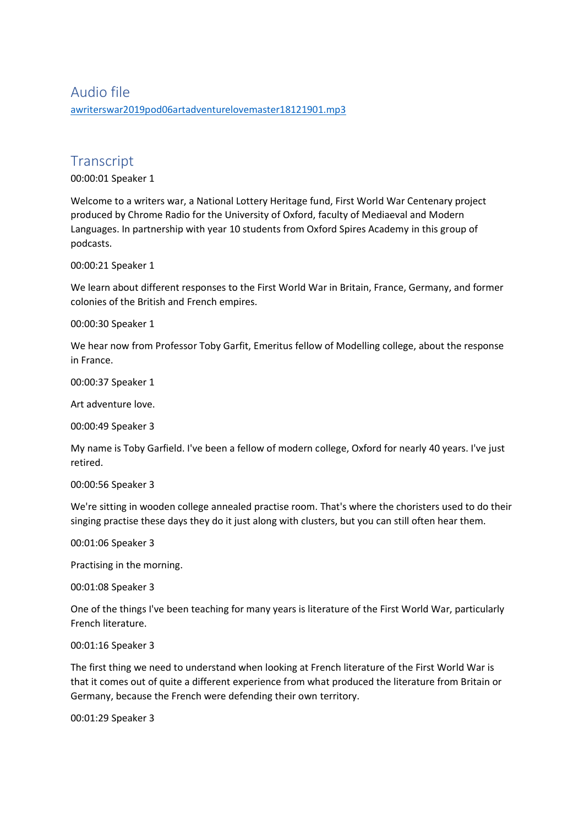## Audio file [awriterswar2019pod06artadventurelovemaster18121901.mp3](https://unioxfordnexus-my.sharepoint.com/personal/etrc0002_ox_ac_uk/Documents/Transcribed%20Files/awriterswar2019pod06artadventurelovemaster18121901.mp3)

# **Transcript**

00:00:01 Speaker 1

Welcome to a writers war, a National Lottery Heritage fund, First World War Centenary project produced by Chrome Radio for the University of Oxford, faculty of Mediaeval and Modern Languages. In partnership with year 10 students from Oxford Spires Academy in this group of podcasts.

00:00:21 Speaker 1

We learn about different responses to the First World War in Britain, France, Germany, and former colonies of the British and French empires.

00:00:30 Speaker 1

We hear now from Professor Toby Garfit, Emeritus fellow of Modelling college, about the response in France.

00:00:37 Speaker 1

Art adventure love.

00:00:49 Speaker 3

My name is Toby Garfield. I've been a fellow of modern college, Oxford for nearly 40 years. I've just retired.

00:00:56 Speaker 3

We're sitting in wooden college annealed practise room. That's where the choristers used to do their singing practise these days they do it just along with clusters, but you can still often hear them.

00:01:06 Speaker 3

Practising in the morning.

00:01:08 Speaker 3

One of the things I've been teaching for many years is literature of the First World War, particularly French literature.

## 00:01:16 Speaker 3

The first thing we need to understand when looking at French literature of the First World War is that it comes out of quite a different experience from what produced the literature from Britain or Germany, because the French were defending their own territory.

00:01:29 Speaker 3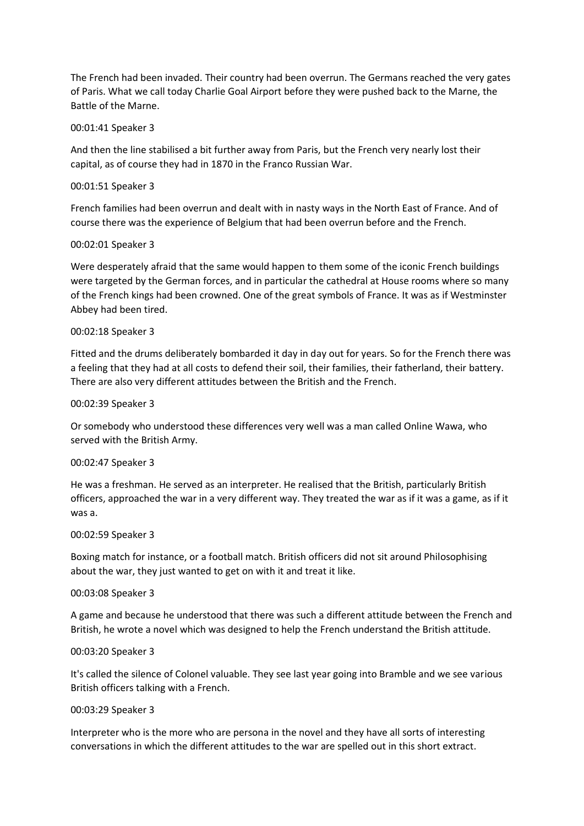The French had been invaded. Their country had been overrun. The Germans reached the very gates of Paris. What we call today Charlie Goal Airport before they were pushed back to the Marne, the Battle of the Marne.

#### 00:01:41 Speaker 3

And then the line stabilised a bit further away from Paris, but the French very nearly lost their capital, as of course they had in 1870 in the Franco Russian War.

## 00:01:51 Speaker 3

French families had been overrun and dealt with in nasty ways in the North East of France. And of course there was the experience of Belgium that had been overrun before and the French.

## 00:02:01 Speaker 3

Were desperately afraid that the same would happen to them some of the iconic French buildings were targeted by the German forces, and in particular the cathedral at House rooms where so many of the French kings had been crowned. One of the great symbols of France. It was as if Westminster Abbey had been tired.

## 00:02:18 Speaker 3

Fitted and the drums deliberately bombarded it day in day out for years. So for the French there was a feeling that they had at all costs to defend their soil, their families, their fatherland, their battery. There are also very different attitudes between the British and the French.

## 00:02:39 Speaker 3

Or somebody who understood these differences very well was a man called Online Wawa, who served with the British Army.

## 00:02:47 Speaker 3

He was a freshman. He served as an interpreter. He realised that the British, particularly British officers, approached the war in a very different way. They treated the war as if it was a game, as if it was a.

#### 00:02:59 Speaker 3

Boxing match for instance, or a football match. British officers did not sit around Philosophising about the war, they just wanted to get on with it and treat it like.

#### 00:03:08 Speaker 3

A game and because he understood that there was such a different attitude between the French and British, he wrote a novel which was designed to help the French understand the British attitude.

#### 00:03:20 Speaker 3

It's called the silence of Colonel valuable. They see last year going into Bramble and we see various British officers talking with a French.

#### 00:03:29 Speaker 3

Interpreter who is the more who are persona in the novel and they have all sorts of interesting conversations in which the different attitudes to the war are spelled out in this short extract.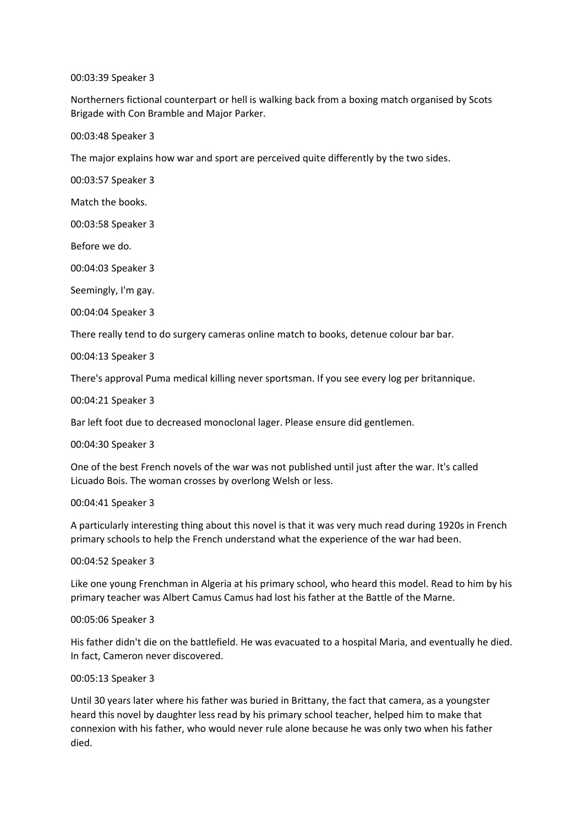#### 00:03:39 Speaker 3

Northerners fictional counterpart or hell is walking back from a boxing match organised by Scots Brigade with Con Bramble and Major Parker.

00:03:48 Speaker 3

The major explains how war and sport are perceived quite differently by the two sides.

00:03:57 Speaker 3

Match the books.

00:03:58 Speaker 3

Before we do.

00:04:03 Speaker 3

Seemingly, I'm gay.

00:04:04 Speaker 3

There really tend to do surgery cameras online match to books, detenue colour bar bar.

00:04:13 Speaker 3

There's approval Puma medical killing never sportsman. If you see every log per britannique.

00:04:21 Speaker 3

Bar left foot due to decreased monoclonal lager. Please ensure did gentlemen.

00:04:30 Speaker 3

One of the best French novels of the war was not published until just after the war. It's called Licuado Bois. The woman crosses by overlong Welsh or less.

00:04:41 Speaker 3

A particularly interesting thing about this novel is that it was very much read during 1920s in French primary schools to help the French understand what the experience of the war had been.

00:04:52 Speaker 3

Like one young Frenchman in Algeria at his primary school, who heard this model. Read to him by his primary teacher was Albert Camus Camus had lost his father at the Battle of the Marne.

00:05:06 Speaker 3

His father didn't die on the battlefield. He was evacuated to a hospital Maria, and eventually he died. In fact, Cameron never discovered.

00:05:13 Speaker 3

Until 30 years later where his father was buried in Brittany, the fact that camera, as a youngster heard this novel by daughter less read by his primary school teacher, helped him to make that connexion with his father, who would never rule alone because he was only two when his father died.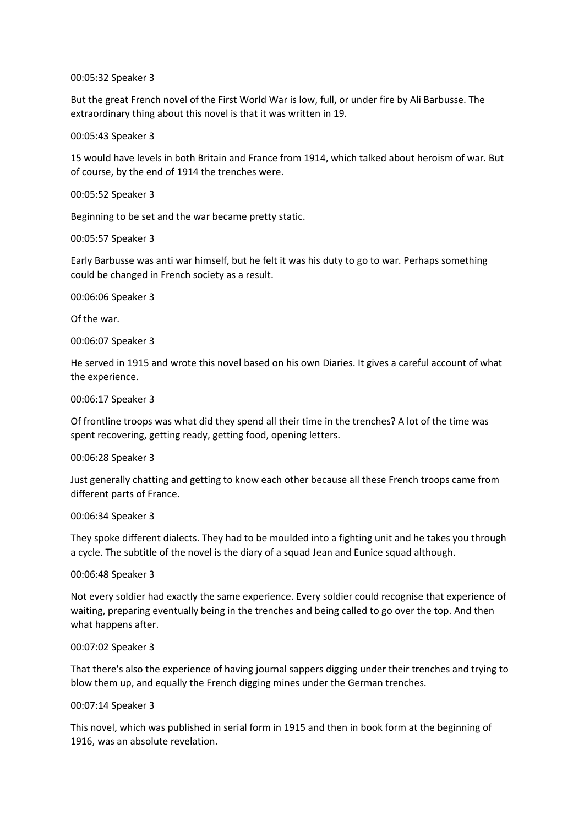00:05:32 Speaker 3

But the great French novel of the First World War is low, full, or under fire by Ali Barbusse. The extraordinary thing about this novel is that it was written in 19.

00:05:43 Speaker 3

15 would have levels in both Britain and France from 1914, which talked about heroism of war. But of course, by the end of 1914 the trenches were.

00:05:52 Speaker 3

Beginning to be set and the war became pretty static.

00:05:57 Speaker 3

Early Barbusse was anti war himself, but he felt it was his duty to go to war. Perhaps something could be changed in French society as a result.

00:06:06 Speaker 3

Of the war.

00:06:07 Speaker 3

He served in 1915 and wrote this novel based on his own Diaries. It gives a careful account of what the experience.

00:06:17 Speaker 3

Of frontline troops was what did they spend all their time in the trenches? A lot of the time was spent recovering, getting ready, getting food, opening letters.

00:06:28 Speaker 3

Just generally chatting and getting to know each other because all these French troops came from different parts of France.

#### 00:06:34 Speaker 3

They spoke different dialects. They had to be moulded into a fighting unit and he takes you through a cycle. The subtitle of the novel is the diary of a squad Jean and Eunice squad although.

00:06:48 Speaker 3

Not every soldier had exactly the same experience. Every soldier could recognise that experience of waiting, preparing eventually being in the trenches and being called to go over the top. And then what happens after.

#### 00:07:02 Speaker 3

That there's also the experience of having journal sappers digging under their trenches and trying to blow them up, and equally the French digging mines under the German trenches.

#### 00:07:14 Speaker 3

This novel, which was published in serial form in 1915 and then in book form at the beginning of 1916, was an absolute revelation.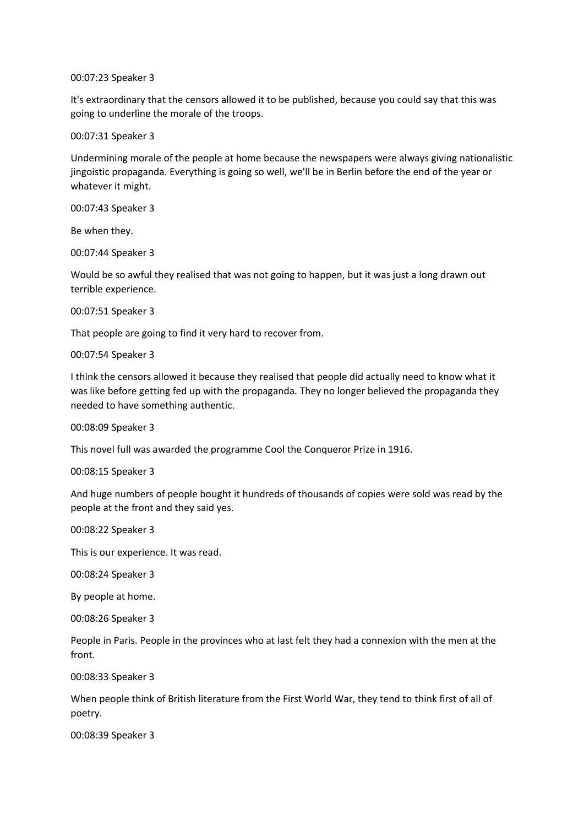00:07:23 Speaker 3

It's extraordinary that the censors allowed it to be published, because you could say that this was going to underline the morale of the troops.

00:07:31 Speaker 3

Undermining morale of the people at home because the newspapers were always giving nationalistic jingoistic propaganda. Everything is going so well, we'll be in Berlin before the end of the year or whatever it might.

00:07:43 Speaker 3

Be when they.

00:07:44 Speaker 3

Would be so awful they realised that was not going to happen, but it was just a long drawn out terrible experience.

00:07:51 Speaker 3

That people are going to find it very hard to recover from.

00:07:54 Speaker 3

I think the censors allowed it because they realised that people did actually need to know what it was like before getting fed up with the propaganda. They no longer believed the propaganda they needed to have something authentic.

00:08:09 Speaker 3

This novel full was awarded the programme Cool the Conqueror Prize in 1916.

00:08:15 Speaker 3

And huge numbers of people bought it hundreds of thousands of copies were sold was read by the people at the front and they said yes.

00:08:22 Speaker 3

This is our experience. It was read.

00:08:24 Speaker 3

By people at home.

00:08:26 Speaker 3

People in Paris. People in the provinces who at last felt they had a connexion with the men at the front.

00:08:33 Speaker 3

When people think of British literature from the First World War, they tend to think first of all of poetry.

00:08:39 Speaker 3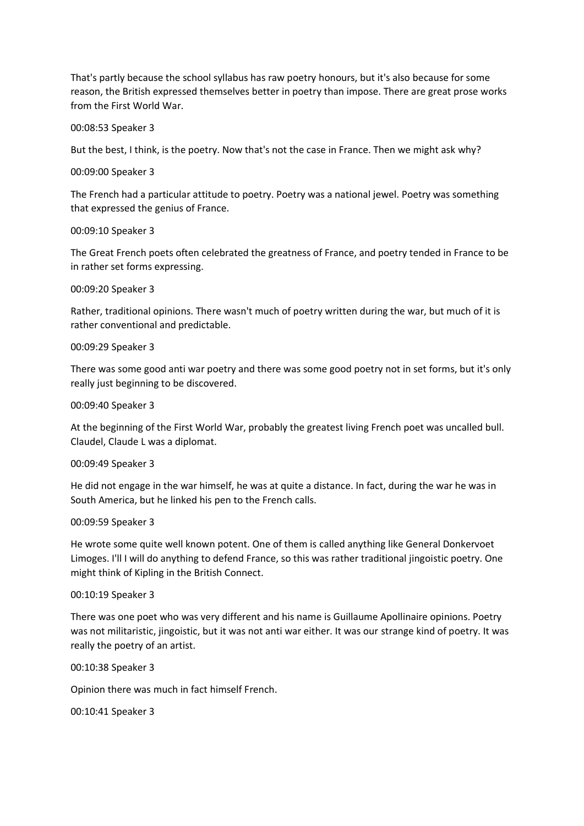That's partly because the school syllabus has raw poetry honours, but it's also because for some reason, the British expressed themselves better in poetry than impose. There are great prose works from the First World War.

00:08:53 Speaker 3

But the best, I think, is the poetry. Now that's not the case in France. Then we might ask why?

00:09:00 Speaker 3

The French had a particular attitude to poetry. Poetry was a national jewel. Poetry was something that expressed the genius of France.

00:09:10 Speaker 3

The Great French poets often celebrated the greatness of France, and poetry tended in France to be in rather set forms expressing.

00:09:20 Speaker 3

Rather, traditional opinions. There wasn't much of poetry written during the war, but much of it is rather conventional and predictable.

00:09:29 Speaker 3

There was some good anti war poetry and there was some good poetry not in set forms, but it's only really just beginning to be discovered.

00:09:40 Speaker 3

At the beginning of the First World War, probably the greatest living French poet was uncalled bull. Claudel, Claude L was a diplomat.

00:09:49 Speaker 3

He did not engage in the war himself, he was at quite a distance. In fact, during the war he was in South America, but he linked his pen to the French calls.

00:09:59 Speaker 3

He wrote some quite well known potent. One of them is called anything like General Donkervoet Limoges. I'll I will do anything to defend France, so this was rather traditional jingoistic poetry. One might think of Kipling in the British Connect.

00:10:19 Speaker 3

There was one poet who was very different and his name is Guillaume Apollinaire opinions. Poetry was not militaristic, jingoistic, but it was not anti war either. It was our strange kind of poetry. It was really the poetry of an artist.

00:10:38 Speaker 3

Opinion there was much in fact himself French.

00:10:41 Speaker 3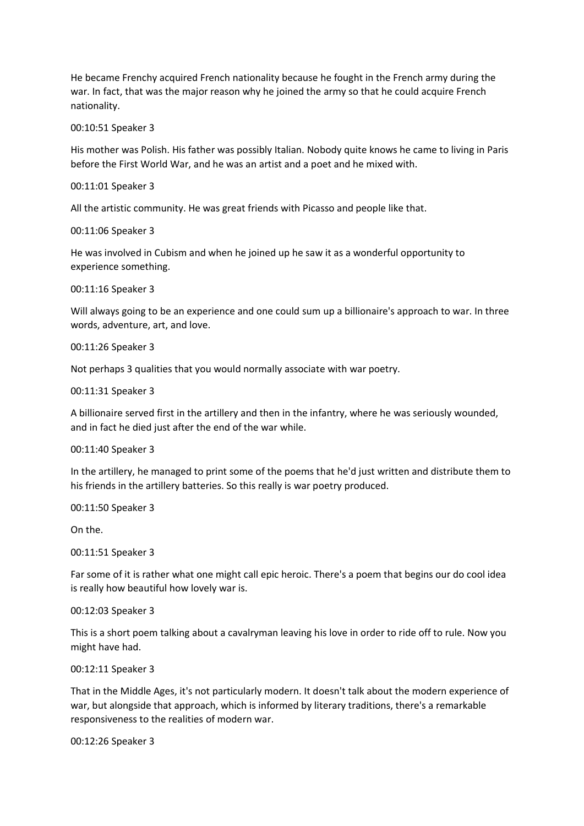He became Frenchy acquired French nationality because he fought in the French army during the war. In fact, that was the major reason why he joined the army so that he could acquire French nationality.

00:10:51 Speaker 3

His mother was Polish. His father was possibly Italian. Nobody quite knows he came to living in Paris before the First World War, and he was an artist and a poet and he mixed with.

00:11:01 Speaker 3

All the artistic community. He was great friends with Picasso and people like that.

00:11:06 Speaker 3

He was involved in Cubism and when he joined up he saw it as a wonderful opportunity to experience something.

00:11:16 Speaker 3

Will always going to be an experience and one could sum up a billionaire's approach to war. In three words, adventure, art, and love.

00:11:26 Speaker 3

Not perhaps 3 qualities that you would normally associate with war poetry.

00:11:31 Speaker 3

A billionaire served first in the artillery and then in the infantry, where he was seriously wounded, and in fact he died just after the end of the war while.

00:11:40 Speaker 3

In the artillery, he managed to print some of the poems that he'd just written and distribute them to his friends in the artillery batteries. So this really is war poetry produced.

00:11:50 Speaker 3

On the.

00:11:51 Speaker 3

Far some of it is rather what one might call epic heroic. There's a poem that begins our do cool idea is really how beautiful how lovely war is.

00:12:03 Speaker 3

This is a short poem talking about a cavalryman leaving his love in order to ride off to rule. Now you might have had.

00:12:11 Speaker 3

That in the Middle Ages, it's not particularly modern. It doesn't talk about the modern experience of war, but alongside that approach, which is informed by literary traditions, there's a remarkable responsiveness to the realities of modern war.

00:12:26 Speaker 3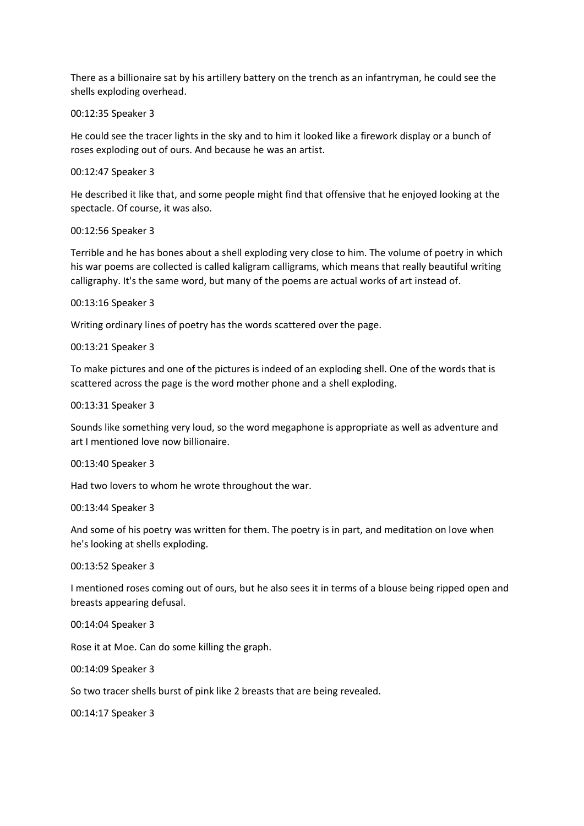There as a billionaire sat by his artillery battery on the trench as an infantryman, he could see the shells exploding overhead.

00:12:35 Speaker 3

He could see the tracer lights in the sky and to him it looked like a firework display or a bunch of roses exploding out of ours. And because he was an artist.

00:12:47 Speaker 3

He described it like that, and some people might find that offensive that he enjoyed looking at the spectacle. Of course, it was also.

00:12:56 Speaker 3

Terrible and he has bones about a shell exploding very close to him. The volume of poetry in which his war poems are collected is called kaligram calligrams, which means that really beautiful writing calligraphy. It's the same word, but many of the poems are actual works of art instead of.

00:13:16 Speaker 3

Writing ordinary lines of poetry has the words scattered over the page.

00:13:21 Speaker 3

To make pictures and one of the pictures is indeed of an exploding shell. One of the words that is scattered across the page is the word mother phone and a shell exploding.

00:13:31 Speaker 3

Sounds like something very loud, so the word megaphone is appropriate as well as adventure and art I mentioned love now billionaire.

00:13:40 Speaker 3

Had two lovers to whom he wrote throughout the war.

00:13:44 Speaker 3

And some of his poetry was written for them. The poetry is in part, and meditation on love when he's looking at shells exploding.

00:13:52 Speaker 3

I mentioned roses coming out of ours, but he also sees it in terms of a blouse being ripped open and breasts appearing defusal.

00:14:04 Speaker 3

Rose it at Moe. Can do some killing the graph.

00:14:09 Speaker 3

So two tracer shells burst of pink like 2 breasts that are being revealed.

00:14:17 Speaker 3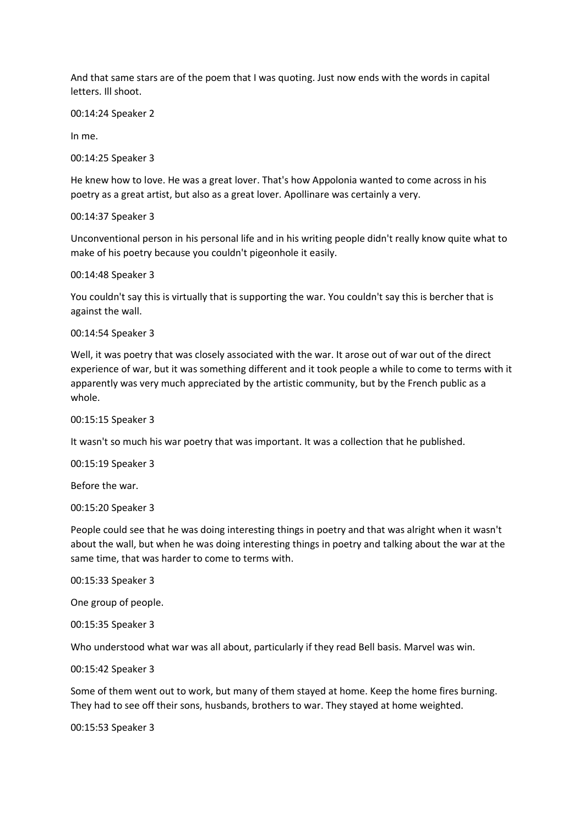And that same stars are of the poem that I was quoting. Just now ends with the words in capital letters. Ill shoot.

00:14:24 Speaker 2

In me.

00:14:25 Speaker 3

He knew how to love. He was a great lover. That's how Appolonia wanted to come across in his poetry as a great artist, but also as a great lover. Apollinare was certainly a very.

00:14:37 Speaker 3

Unconventional person in his personal life and in his writing people didn't really know quite what to make of his poetry because you couldn't pigeonhole it easily.

00:14:48 Speaker 3

You couldn't say this is virtually that is supporting the war. You couldn't say this is bercher that is against the wall.

00:14:54 Speaker 3

Well, it was poetry that was closely associated with the war. It arose out of war out of the direct experience of war, but it was something different and it took people a while to come to terms with it apparently was very much appreciated by the artistic community, but by the French public as a whole.

00:15:15 Speaker 3

It wasn't so much his war poetry that was important. It was a collection that he published.

00:15:19 Speaker 3

Before the war.

00:15:20 Speaker 3

People could see that he was doing interesting things in poetry and that was alright when it wasn't about the wall, but when he was doing interesting things in poetry and talking about the war at the same time, that was harder to come to terms with.

00:15:33 Speaker 3

One group of people.

00:15:35 Speaker 3

Who understood what war was all about, particularly if they read Bell basis. Marvel was win.

00:15:42 Speaker 3

Some of them went out to work, but many of them stayed at home. Keep the home fires burning. They had to see off their sons, husbands, brothers to war. They stayed at home weighted.

00:15:53 Speaker 3